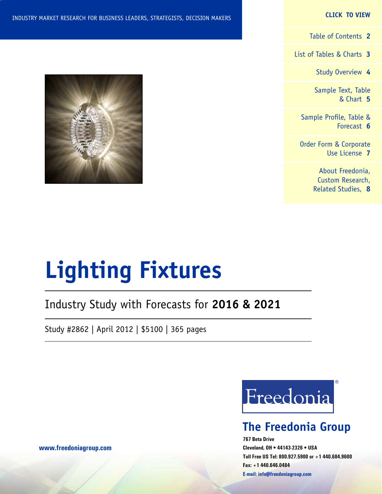#### **CLICK TO VIEW**

[Table of Contents](#page-1-0) **2**

[List of Tables & Charts](#page-2-0) **3**

[Study Overview](#page-3-0) **4**

[Sample Text, Table](#page-4-0) [& Chart](#page-4-0) **5**

[Sample Profile, Table &](#page-5-0) [Forecast](#page-5-0) **6**

[Order Form & Corporate](#page-6-0) [Use License](#page-6-0) **7**

> [About Freedonia,](#page-7-0) [Custom Research,](#page-7-0) [Related Studies,](#page-7-0) **8**



# **Lighting Fixtures**

## Industry Study with Forecasts for **2016 & 2021**

Study #2862 | April 2012 | \$5100 | 365 pages



## **The Freedonia Group**

**767 Beta Drive Cleveland, OH • 44143-2326 • USA Toll Free US Tel: 800.927.5900 or +1 440.684.9600 Fax: +1 440.646.0484 E-mail: [info@freedoniagroup.com](mailto:info@freedoniagroup.com)**

**[www.freedoniagroup.com](http://www.freedoniagroup.com/Home.aspx?ReferrerId=FM-Bro)**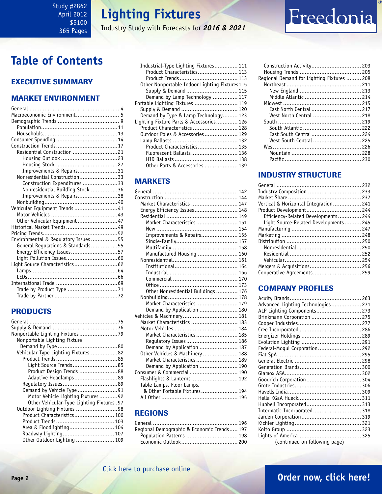## **Lighting Fixtures**

Industry Study with Forecasts for *2016 & 2021*

## <span id="page-1-0"></span>**Table of Contents**

### Executive Summary

### Market EnvironmenT

| Macroeconomic Environment 5         |  |
|-------------------------------------|--|
|                                     |  |
|                                     |  |
|                                     |  |
|                                     |  |
|                                     |  |
| Residential Construction 21         |  |
|                                     |  |
|                                     |  |
| Improvements & Repairs31            |  |
| Nonresidential Construction33       |  |
| Construction Expenditures 33        |  |
| Nonresidential Building Stock36     |  |
| Improvements & Repairs38            |  |
|                                     |  |
| Vehicular Equipment Trends 41       |  |
|                                     |  |
| Other Vehicular Equipment47         |  |
| Historical Market Trends 49         |  |
|                                     |  |
| Environmental & Regulatory Issues55 |  |
| General Regulations & Standards55   |  |
| Energy Efficiency Issues57          |  |
|                                     |  |
| Light Source Characteristics 62     |  |
|                                     |  |
|                                     |  |
|                                     |  |
|                                     |  |
|                                     |  |

### PRODUCTS

| Nonportable Lighting Fixture               |  |
|--------------------------------------------|--|
|                                            |  |
| Vehicular-Type Lighting Fixtures82         |  |
|                                            |  |
| Light Source Trends85                      |  |
| Product Design Trends 88                   |  |
| Adaptive Headlamps89                       |  |
|                                            |  |
| Demand by Vehicle Type 91                  |  |
| Motor Vehicle Lighting Fixtures92          |  |
| Other Vehicular-Type Lighting Fixtures .97 |  |
| Outdoor Lighting Fixtures 98               |  |
| Product Characteristics 100                |  |
|                                            |  |
| Area & Floodlighting 104                   |  |
| Roadway Lighting 107                       |  |
| Other Outdoor Lighting  109                |  |

| Industrial-Type Lighting Fixtures 111         |  |
|-----------------------------------------------|--|
| Product Characteristics 113                   |  |
| Product Trends 113                            |  |
| Other Nonportable Indoor Lighting Fixtures115 |  |
| Supply & Demand 115                           |  |
| Demand by Lamp Technology  117                |  |
| Portable Lighting Fixtures  119               |  |
|                                               |  |
| Demand by Type & Lamp Technology 123          |  |
| Lighting Fixture Parts & Accessories 126      |  |
| Product Characteristics  128                  |  |
|                                               |  |
|                                               |  |
| Product Characteristics 135                   |  |
| Fluorescent Ballasts 136                      |  |
|                                               |  |
| Other Parts & Accessories  139                |  |

### **MARKETS**

| Market Characteristics  147         |  |
|-------------------------------------|--|
| Energy Efficiency Issues 148        |  |
|                                     |  |
| Market Characteristics  151         |  |
|                                     |  |
| Improvements & Repairs 155          |  |
|                                     |  |
|                                     |  |
| Manufactured Housing  160           |  |
|                                     |  |
|                                     |  |
|                                     |  |
|                                     |  |
|                                     |  |
| Other Nonresidential Buildings  176 |  |
|                                     |  |
| Market Characteristics  179         |  |
| Demand by Application  180          |  |
| Vehicles & Machinery 181            |  |
| Market Characteristics  183         |  |
|                                     |  |
| Market Characteristics  185         |  |
| Requlatory Issues 186               |  |
| Demand by Application  187          |  |
| Other Vehicles & Machinery 188      |  |
| Market Characteristics  189         |  |
| Demand by Application  190          |  |
| Consumer & Commercial  190          |  |
| Flashlights & Lanterns 192          |  |
| Table Lamps, Floor Lamps,           |  |
| & Other Portable Fixtures 194       |  |
|                                     |  |

### REGIONS

| Regional Demographic & Economic Trends 197 |  |
|--------------------------------------------|--|
| Population Patterns  198                   |  |
|                                            |  |
|                                            |  |

| Regional Demand for Lighting Fixtures  208 |  |
|--------------------------------------------|--|
|                                            |  |
|                                            |  |
|                                            |  |
|                                            |  |
| East North Central  217                    |  |
| West North Central  218                    |  |
|                                            |  |
|                                            |  |
| East South Central 224                     |  |
| West South Central  225                    |  |
|                                            |  |
|                                            |  |
|                                            |  |
|                                            |  |

### INDUSTRY STRUCTURE

| Industry Composition  233             |  |
|---------------------------------------|--|
|                                       |  |
| Vertical & Horizontal Integration 241 |  |
| Product Development 244               |  |
| Efficiency-Related Developments 244   |  |
| Light Source-Related Developments 245 |  |
|                                       |  |
|                                       |  |
|                                       |  |
|                                       |  |
|                                       |  |
|                                       |  |
|                                       |  |
| Cooperative Agreements 259            |  |
|                                       |  |

### Company Profiles

| Advanced Lighting Technologies 271 |  |
|------------------------------------|--|
| ALP Lighting Components 273        |  |
|                                    |  |
| Brinkmann Corporation  275         |  |
|                                    |  |
|                                    |  |
|                                    |  |
|                                    |  |
| Federal-Mogul Corporation 292      |  |
|                                    |  |
|                                    |  |
|                                    |  |
|                                    |  |
| Goodrich Corporation 304           |  |
|                                    |  |
|                                    |  |
|                                    |  |
| Hubbell Incorporated 313           |  |
| Intermatic Incorporated 318        |  |
|                                    |  |
|                                    |  |
|                                    |  |
|                                    |  |
|                                    |  |
| (continued on following page)      |  |

Freedonia

## **Page 2 [Order now, click here!](#page-6-0)**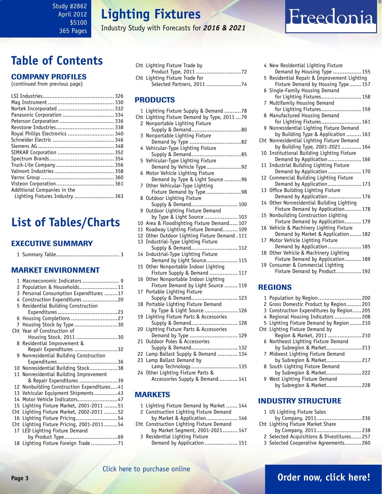## **Lighting Fixtures**

Industry Study with Forecasts for *2016 & 2021*

## <span id="page-2-0"></span>**Table of Contents**

### Company Profiles

(continued from previous page)

| Nortek Incorporated  332        |  |
|---------------------------------|--|
| Panasonic Corporation  334      |  |
| Peterson Corporation  336       |  |
|                                 |  |
| Royal Philips Electronics  340  |  |
|                                 |  |
|                                 |  |
|                                 |  |
|                                 |  |
|                                 |  |
|                                 |  |
|                                 |  |
|                                 |  |
| Additional Companies in the     |  |
| Lighting Fixtures Industry  363 |  |

## **List of Tables/Charts**

#### Executive Summary

|--|--|--|--|

#### Market EnvironmenT

| 1   | Macroeconomic Indicators  9                |
|-----|--------------------------------------------|
| 2   | Population & Households11                  |
| 3   | Personal Consumption Expenditures 17       |
|     | 4 Construction Expenditures 20             |
|     | 5 Residential Building Construction        |
|     |                                            |
|     | 6 Housing Completions 27                   |
| 7   | Housing Stock by Type 30                   |
|     | Cht Year of Construction of                |
|     |                                            |
|     | Housing Stock, 2011 30                     |
|     | 8 Residential Improvement &                |
|     | Repair Expenditures 32                     |
|     | 9 Nonresidential Building Construction     |
|     |                                            |
|     | 10 Nonresidential Building Stock38         |
| 11  | Nonresidential Building Improvement        |
|     | & Repair Expenditures 39                   |
|     | 12 Nonbuilding Construction Expenditures41 |
| 13  | Vehicular Equipment Shipments43            |
| 14  | Motor Vehicle Indicators47                 |
| 15  | Lighting Fixture Market, 2001-2011 51      |
| Cht | Lighting Fixture Market, 2002-2011 52      |
| 16  | Lighting Fixture Pricing54                 |
| Cht | Lighting Fixture Pricing, 2001-201154      |
| 17  | LED Lighting Fixture Demand                |
|     |                                            |
|     | 18 Lighting Fixture Foreign Trade71        |
|     |                                            |

| Cht Lighting Fixture Trade by  |  |
|--------------------------------|--|
|                                |  |
| Cht Lighting Fixture Trade for |  |
| Selected Partners, 2011 74     |  |

#### PRODUCTS

| 1             | Lighting Fixture Supply & Demand 78                                |
|---------------|--------------------------------------------------------------------|
| Cht           | Lighting Fixture Demand by Type, 2011  79                          |
| $\mathcal{P}$ | Nonportable Lighting Fixture                                       |
|               | Supply & Demand80                                                  |
| 3             | Nonportable Lighting Fixture                                       |
|               |                                                                    |
|               | 4 Vehicular-Type Lighting Fixture                                  |
|               | Supply & Demand85                                                  |
| 5             | Vehicular-Type Lighting Fixture                                    |
|               | Demand by Vehicle Type92                                           |
| 6             | Motor Vehicle Lighting Fixture                                     |
|               | Demand by Type & Light Source 96                                   |
| 7             | Other Vehicular-Type Lighting                                      |
|               | Fixture Demand by Type 98                                          |
| 8             | Outdoor Lighting Fixture                                           |
|               | Supply & Demand 100<br>Outdoor Lighting Fixture Demand             |
| 9             | by Type & Light Source  103                                        |
| 10            | Area & Floodlighting Fixture Demand 107                            |
| 11            | Roadway Lighting Fixture Demand 109                                |
| 12            | Other Outdoor Lighting Fixture Demand . 111                        |
| 13            | Industrial-Type Lighting Fixture                                   |
|               | Supply & Demand 112                                                |
| 14            | Industrial-Type Lighting Fixture                                   |
|               | Demand by Light Source 115                                         |
| 15            | Other Nonportable Indoor Lighting                                  |
|               | Fixture Supply & Demand  117                                       |
| 16            | Other Nonportable Indoor Lighting                                  |
|               | Fixture Demand by Light Source  119                                |
| 17            | Portable Lighting Fixture                                          |
|               | Supply & Demand 123                                                |
| 18            | Portable Lighting Fixture Demand                                   |
|               | by Type & Light Source  126                                        |
| 19            | Lighting Fixture Parts & Accessories                               |
|               | Supply & Demand 128                                                |
| 20            | Lighting Fixture Parts & Accessories                               |
|               | Demand by Type  129                                                |
| 21            | Outdoor Poles & Accessories                                        |
|               | Supply & Demand 132                                                |
| 22            | Lamp Ballast Supply & Demand  134                                  |
| 23            | Lamp Ballast Demand by<br>Lamp Technology  135                     |
|               |                                                                    |
| 24            | Other Lighting Fixture Parts &<br>Accessories Supply & Demand  141 |
|               |                                                                    |
|               |                                                                    |
|               | <b>MARKETS</b>                                                     |

1 Lighting Fixture Demand by Market ....... 144 2 Construction Lighting Fixture Demand

Cht Construction Lighting Fixture Demand

3 Residential Lighting Fixture

by Market & Application................... 146

by Market Segment, 2001-2021......... 147

Demand by Application.................... 151

|    | 4 New Residential Lighting Fixture                                 |
|----|--------------------------------------------------------------------|
|    | Demand by Housing Type  155                                        |
| 5  | Residential Repair & Improvement Lighting                          |
|    | Fixture Demand by Housing Type 157                                 |
| 6  | Single-Family Housing Demand                                       |
|    | for Lighting Fixtures 158                                          |
| 7  | Multifamily Housing Demand<br>for Lighting Fixtures 159            |
| 8  | Manufactured Housing Demand                                        |
|    | for Lighting Fixtures 161                                          |
|    | 9 Nonresidential Lighting Fixture Demand                           |
|    | by Building Type & Application  163                                |
|    | Cht Nonresidential Lighting Fixture Demand                         |
|    | by Building Type, 2001-2021  164                                   |
|    | 10 Institutional Building Lighting Fixture                         |
|    | Demand by Application  166                                         |
| 11 | Industrial Building Lighting Fixture                               |
|    | Demand by Application  170<br>Commercial Building Lighting Fixture |
| 12 | Demand by Application  173                                         |
| 13 | Office Building Lighting Fixture                                   |
|    | Demand by Application 176                                          |
| 14 | Other Nonresidential Building Lighting                             |
|    | Fixture Demand by Application 178                                  |
| 15 | Nonbuilding Construction Lighting                                  |
|    | Fixture Demand by Application 179                                  |
|    | 16 Vehicle & Machinery Lighting Fixture                            |
|    | Demand by Market & Application 182                                 |
|    | 17 Motor Vehicle Lighting Fixture<br>Demand by Application  185    |
|    | 18 Other Vehicle & Machinery Lighting                              |
|    | Fixture Demand by Application 189                                  |
|    | 19 Consumer & Commercial Lighting                                  |
|    | Fixture Demand by Product 192                                      |
|    |                                                                    |
|    | <b>REGIONS</b>                                                     |
|    | 1 Population by Region 200                                         |
|    |                                                                    |

Freedonia

| 2 Gross Domestic Product by Region 203   |
|------------------------------------------|
| 3 Construction Expenditures by Region205 |
| 4 Regional Housing Indicators  208       |
| 5 Lighting Fixture Demand by Region  210 |
| Cht Lighting Fixture Demand by           |
| Region & Market, 2011  210               |
| 6 Northeast Lighting Fixture Demand      |
| by Subregion & Market 213                |
| 7 Midwest Lighting Fixture Demand        |
| by Subregion & Market 217                |
| 8 South Lighting Fixture Demand          |
| by Subregion & Market 222                |
| 9 West Lighting Fixture Demand           |
| by Subregion & Market 228                |

### INDUSTRY STRUCTURE

| 1 US Lighting Fixture Sales                |  |
|--------------------------------------------|--|
| by Company, 2011 236                       |  |
| Cht Lighting Fixture Market Share          |  |
| by Company, 2011 238                       |  |
| 2 Selected Acquisitions & Divestitures 257 |  |
| 3 Selected Cooperative Agreements 260      |  |
|                                            |  |

#### [Click here to purchase online](http://www.freedoniagroup.com/DocumentDetails.aspx?Referrerid=FM-Bro&StudyID=2862)

### **Page 3 [Order now, click here!](#page-6-0)**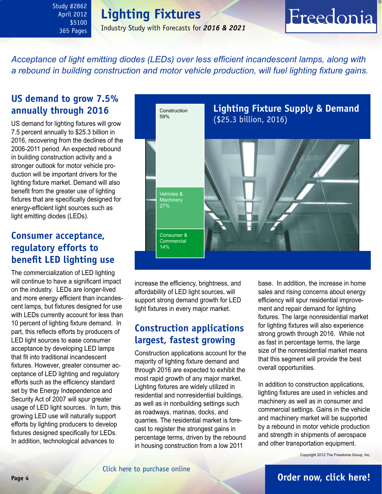## **Lighting Fixtures**

Industry Study with Forecasts for *2016 & 2021*

### <span id="page-3-0"></span>*Acceptance of light emitting diodes (LEDs) over less efficient incandescent lamps, along with a rebound in building construction and motor vehicle production, will fuel lighting fixture gains.*

### **US demand to grow 7.5% annually through 2016**

US demand for lighting fixtures will grow 7.5 percent annually to \$25.3 billion in 2016, recovering from the declines of the 2006-2011 period. An expected rebound in building construction activity and a stronger outlook for motor vehicle production will be important drivers for the lighting fixture market. Demand will also benefit from the greater use of lighting fixtures that are specifically designed for energy-efficient light sources such as light emitting diodes (LEDs).

### **Consumer acceptance, regulatory efforts to benefit LED lighting use**

The commercialization of LED lighting will continue to have a significant impact on the industry. LEDs are longer-lived and more energy efficient than incandescent lamps, but fixtures designed for use with LEDs currently account for less than 10 percent of lighting fixture demand. In part, this reflects efforts by producers of LED light sources to ease consumer acceptance by developing LED lamps that fit into traditional incandescent fixtures. However, greater consumer acceptance of LED lighting and regulatory efforts such as the efficiency standard set by the Energy Independence and Security Act of 2007 will spur greater usage of LED light sources. In turn, this growing LED use will naturally support efforts by lighting producers to develop fixtures designed specifically for LEDs. In addition, technological advances to



increase the efficiency, brightness, and affordability of LED light sources, will support strong demand growth for LED light fixtures in every major market.

### **Construction applications largest, fastest growing**

Construction applications account for the majority of lighting fixture demand and through 2016 are expected to exhibit the most rapid growth of any major market. Lighting fixtures are widely utilized in residential and nonresidential buildings, as well as in nonbuilding settings such as roadways, marinas, docks, and quarries. The residential market is forecast to register the strongest gains in percentage terms, driven by the rebound in housing construction from a low 2011

base. In addition, the increase in home sales and rising concerns about energy efficiency will spur residential improvement and repair demand for lighting fixtures. The large nonresidential market for lighting fixtures will also experience strong growth through 2016. While not as fast in percentage terms, the large size of the nonresidential market means that this segment will provide the best overall opportunities.

Freedonia

In addition to construction applications, lighting fixtures are used in vehicles and machinery as well as in consumer and commercial settings. Gains in the vehicle and machinery market will be supported by a rebound in motor vehicle production and strength in shipments of aerospace and other transportation equipment.

Copyright 2012 The Freedonia Group, Inc.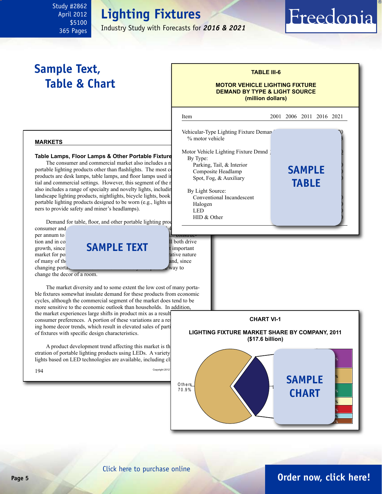# **Lighting Fixtures**

Industry Study with Forecasts for *2016 & 2021*

## <span id="page-4-0"></span>**Sample Text, Table & Chart**

#### **TABLE III-6**

Freedonia

#### **MOTOR VEHICLE LIGHTING FIXTURE DEMAND BY TYPE & LIGHT SOURCE (million dollars)**



#### [Click here to purchase online](http://www.freedoniagroup.com/DocumentDetails.aspx?Referrerid=FM-Bro&StudyID=2862)

### **Page 5 [Order now, click here!](#page-6-0)**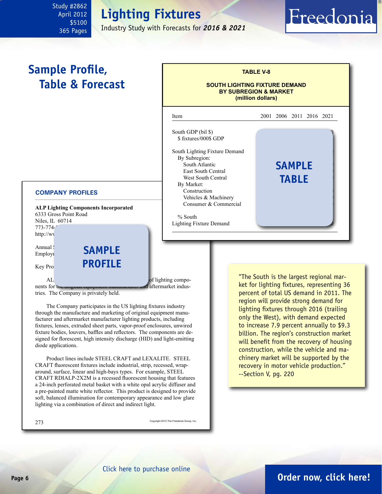## **Lighting Fixtures**

Industry Study with Forecasts for *2016 & 2021*

# Freedonia

## <span id="page-5-0"></span>**Sample Profile, Table & Forecast**



#### **COMPANY PROFILES**

**ALP Lighting Components Incorporated** 6333 Gross Point Road Niles, IL 60714 773-774 $http://w1$ 

Employi

Annual SAMPLE **PROFILE** 

 $AL$   $OL$ nents for the original equipment manufacturer and aftermarket indus-

tries. The Company is privately held.

The Company participates in the US lighting fixtures industry through the manufacture and marketing of original equipment manufacturer and aftermarket manufacturer lighting products, including fixtures, lenses, extruded sheet parts, vapor-proof enclosures, unwired fixture bodies, louvers, baffles and reflectors. The components are designed for florescent, high intensity discharge (HID) and light-emitting diode applications.

Product lines include STEEL CRAFT and LEXALITE. STEEL CRAFT fluorescent fixtures include industrial, strip, recessed, wraparound, surface, linear and high-bays types. For example, STEEL CRAFT RDIALP-2X2M is a recessed fluorescent housing that features a 24-inch perforated metal basket with a white opal acrylic diffuser and a pre-painted matte white reflector. This product is designed to provide soft, balanced illumination for contemporary appearance and low glare lighting via a combination of direct and indirect light.

273 Copyright 2012 The Freedonia Group, Inc.

"The South is the largest regional market for lighting fixtures, representing 36 percent of total US demand in 2011. The region will provide strong demand for lighting fixtures through 2016 (trailing only the West), with demand expected to increase 7.9 percent annually to \$9.3 billion. The region's construction market will benefit from the recovery of housing construction, while the vehicle and machinery market will be supported by the recovery in motor vehicle production." --Section V, pg. 220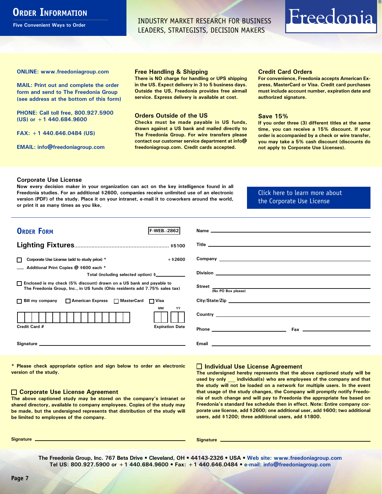## <span id="page-6-0"></span>**ORDER INFORMATION**

**Five Convenient Ways to Order**

INDUSTRY MARKET RESEARCH FOR BUSINESS LEADERS, STRATEGISTS, DECISION MAKERS

# Freedonia

**ONLINE: [www.freedoniagroup.com](http://www.freedoniagroup.com/DocumentDetails.aspx?Referrerid=FM-Bro&StudyID=xxxx)**

**MAIL: Print out and complete the order form and send to The Freedonia Group (see address at the bottom of this form)**

**PHONE: Call toll free, 800.927.5900 (US) or +1 440.684.9600**

**FAX: +1 440.646.0484 (US)**

**EMAIL: [info@freedoniagroup.com](mailto:info@freedoniagroup.com)**

#### **Free Handling & Shipping**

**There is NO charge for handling or UPS shipping in the US. Expect delivery in 3 to 5 business days. Outside the US, Freedonia provides free airmail service. Express delivery is available at cost.**

#### **Orders Outside of the US**

**Checks must be made payable in US funds, drawn against a US bank and mailed directly to The Freedonia Group. For wire transfers please contact our customer service department at info@ freedoniagroup.com. Credit cards accepted.**

#### **Credit Card Orders**

**For convenience, Freedonia accepts American Express, MasterCard or Visa. Credit card purchases must include account number, expiration date and authorized signature.**

#### **Save 15%**

**If you order three (3) different titles at the same time, you can receive a 15% discount. If your order is accompanied by a check or wire transfer, you may take a 5% cash discount (discounts do not apply to Corporate Use Licenses).**

#### **Corporate Use License**

**Now every decision maker in your organization can act on the key intelligence found in all Freedonia studies. For an additional \$2600, companies receive unlimited use of an electronic version (PDF) of the study. Place it on your intranet, e-mail it to coworkers around the world, or print it as many times as you like,** 

#### [Click here to learn more about](http://www.freedoniagroup.com/pdf/FreedoniaCULBro.pdf)  [the Corporate Use License](http://www.freedoniagroup.com/pdf/FreedoniaCULBro.pdf)

| <b>ORDER FORM</b><br><b>IF-WEB. 2862</b>                                                                                                              |                                                                                                                                                                                                                                     |
|-------------------------------------------------------------------------------------------------------------------------------------------------------|-------------------------------------------------------------------------------------------------------------------------------------------------------------------------------------------------------------------------------------|
|                                                                                                                                                       |                                                                                                                                                                                                                                     |
|                                                                                                                                                       |                                                                                                                                                                                                                                     |
|                                                                                                                                                       |                                                                                                                                                                                                                                     |
| $+$ \$2600<br>Corporate Use License (add to study price) *                                                                                            |                                                                                                                                                                                                                                     |
| Additional Print Copies @ \$600 each *                                                                                                                |                                                                                                                                                                                                                                     |
| Total (including selected option) \$                                                                                                                  |                                                                                                                                                                                                                                     |
| □ Enclosed is my check (5% discount) drawn on a US bank and payable to<br>The Freedonia Group, Inc., in US funds (Ohio residents add 7.75% sales tax) | Street (No PO Box please)                                                                                                                                                                                                           |
|                                                                                                                                                       |                                                                                                                                                                                                                                     |
| □ Bill my company □ American Express □ MasterCard □ Visa                                                                                              |                                                                                                                                                                                                                                     |
| <b>MM</b><br>YY                                                                                                                                       | Country <u>example</u> and the control of the control of the control of the control of the control of the control of the control of the control of the control of the control of the control of the control of the control of the c |
| Credit Card #<br><b>Expiration Date</b>                                                                                                               |                                                                                                                                                                                                                                     |
|                                                                                                                                                       |                                                                                                                                                                                                                                     |

**\* Please check appropriate option and sign below to order an electronic version of the study.**

#### **Corporate Use License Agreement**

**The above captioned study may be stored on the company's intranet or shared directory, available to company employees. Copies of the study may be made, but the undersigned represents that distribution of the study will be limited to employees of the company.**

#### **Individual Use License Agreement**

**The undersigned hereby represents that the above captioned study will be used by only \_\_\_ individual(s) who are employees of the company and that the study will not be loaded on a network for multiple users. In the event that usage of the study changes, the Company will promptly notify Freedonia of such change and will pay to Freedonia the appropriate fee based on Freedonia's standard fee schedule then in effect. Note: Entire company corporate use license, add \$2600; one additional user, add \$600; two additional users, add \$1200; three additional users, add \$1800.**

**Signature Signature**

**The Freedonia Group, Inc. 767 Beta Drive • Cleveland, OH • 44143-2326 • USA • [Web site: www.freedoniagroup.com](http://www.freedoniagroup.com/Home.aspx?ReferrerId=FM-Bro) Tel US: 800.927.5900 or +1 440.684.9600 • Fax: +1 440.646.0484 • [e-mail: info@freedoniagroup.com](mailto:info@freedoniagroup.com)**